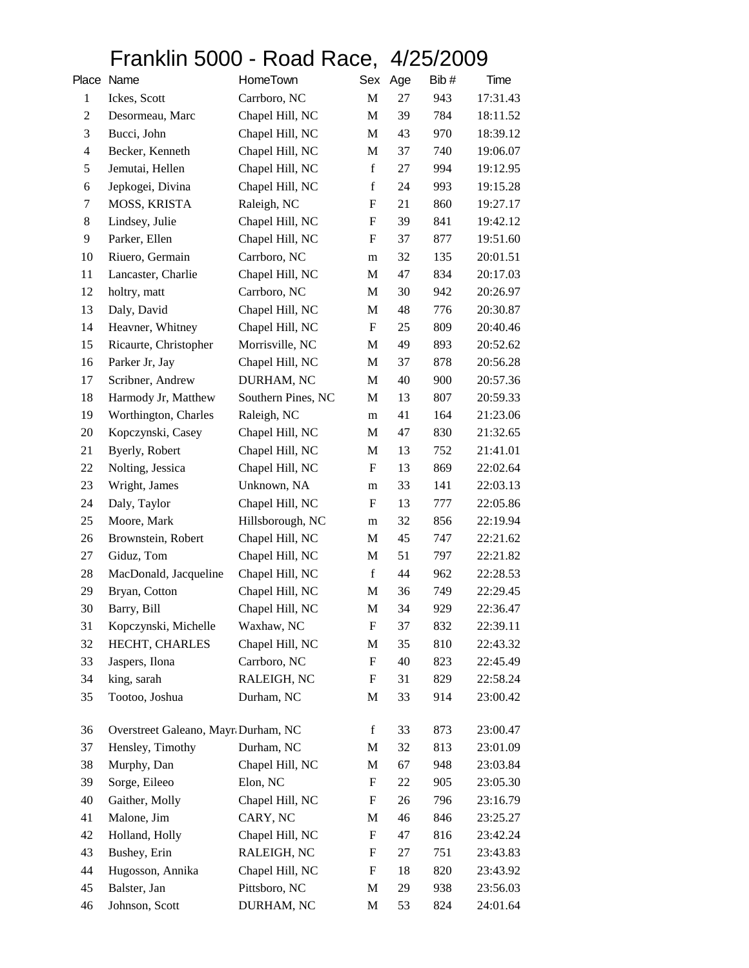## Franklin 5000 - Road Race, 4/25/2009

|                | Place Name                          | HomeTown           | Sex                       | Age | Bib# | Time     |
|----------------|-------------------------------------|--------------------|---------------------------|-----|------|----------|
| $\mathbf{1}$   | Ickes, Scott                        | Carrboro, NC       | M                         | 27  | 943  | 17:31.43 |
| $\overline{c}$ | Desormeau, Marc                     | Chapel Hill, NC    | M                         | 39  | 784  | 18:11.52 |
| 3              | Bucci, John                         | Chapel Hill, NC    | M                         | 43  | 970  | 18:39.12 |
| $\overline{4}$ | Becker, Kenneth                     | Chapel Hill, NC    | M                         | 37  | 740  | 19:06.07 |
| 5              | Jemutai, Hellen                     | Chapel Hill, NC    | $\mathbf f$               | 27  | 994  | 19:12.95 |
| 6              | Jepkogei, Divina                    | Chapel Hill, NC    | $\mathbf f$               | 24  | 993  | 19:15.28 |
| 7              | MOSS, KRISTA                        | Raleigh, NC        | $\boldsymbol{\mathrm{F}}$ | 21  | 860  | 19:27.17 |
| 8              | Lindsey, Julie                      | Chapel Hill, NC    | $\boldsymbol{\mathrm{F}}$ | 39  | 841  | 19:42.12 |
| 9              | Parker, Ellen                       | Chapel Hill, NC    | $\boldsymbol{\mathrm{F}}$ | 37  | 877  | 19:51.60 |
| 10             | Riuero, Germain                     | Carrboro, NC       | m                         | 32  | 135  | 20:01.51 |
| 11             | Lancaster, Charlie                  | Chapel Hill, NC    | M                         | 47  | 834  | 20:17.03 |
| 12             | holtry, matt                        | Carrboro, NC       | M                         | 30  | 942  | 20:26.97 |
| 13             | Daly, David                         | Chapel Hill, NC    | M                         | 48  | 776  | 20:30.87 |
| 14             | Heavner, Whitney                    | Chapel Hill, NC    | ${\bf F}$                 | 25  | 809  | 20:40.46 |
| 15             | Ricaurte, Christopher               | Morrisville, NC    | M                         | 49  | 893  | 20:52.62 |
| 16             | Parker Jr, Jay                      | Chapel Hill, NC    | $\mathbf M$               | 37  | 878  | 20:56.28 |
| 17             | Scribner, Andrew                    | DURHAM, NC         | M                         | 40  | 900  | 20:57.36 |
| 18             | Harmody Jr, Matthew                 | Southern Pines, NC | M                         | 13  | 807  | 20:59.33 |
| 19             | Worthington, Charles                | Raleigh, NC        | m                         | 41  | 164  | 21:23.06 |
| 20             | Kopczynski, Casey                   | Chapel Hill, NC    | M                         | 47  | 830  | 21:32.65 |
| 21             | Byerly, Robert                      | Chapel Hill, NC    | M                         | 13  | 752  | 21:41.01 |
| 22             | Nolting, Jessica                    | Chapel Hill, NC    | F                         | 13  | 869  | 22:02.64 |
| 23             | Wright, James                       | Unknown, NA        | m                         | 33  | 141  | 22:03.13 |
| 24             | Daly, Taylor                        | Chapel Hill, NC    | ${\bf F}$                 | 13  | 777  | 22:05.86 |
| 25             | Moore, Mark                         | Hillsborough, NC   | m                         | 32  | 856  | 22:19.94 |
| 26             | Brownstein, Robert                  | Chapel Hill, NC    | M                         | 45  | 747  | 22:21.62 |
| 27             | Giduz, Tom                          | Chapel Hill, NC    | M                         | 51  | 797  | 22:21.82 |
| 28             | MacDonald, Jacqueline               | Chapel Hill, NC    | $\mathbf f$               | 44  | 962  | 22:28.53 |
| 29             | Bryan, Cotton                       | Chapel Hill, NC    | M                         | 36  | 749  | 22:29.45 |
| 30             | Barry, Bill                         | Chapel Hill, NC    | M                         | 34  | 929  | 22:36.47 |
| 31             | Kopczynski, Michelle                | Waxhaw, NC         | ${\bf F}$                 | 37  | 832  | 22:39.11 |
| 32             | HECHT, CHARLES                      | Chapel Hill, NC    | M                         | 35  | 810  | 22:43.32 |
| 33             | Jaspers, Ilona                      | Carrboro, NC       | ${\bf F}$                 | 40  | 823  | 22:45.49 |
| 34             | king, sarah                         | RALEIGH, NC        | ${\bf F}$                 | 31  | 829  | 22:58.24 |
| 35             | Tootoo, Joshua                      | Durham, NC         | M                         | 33  | 914  | 23:00.42 |
| 36             | Overstreet Galeano, Mayr Durham, NC |                    | $\mathbf f$               | 33  | 873  | 23:00.47 |
| 37             | Hensley, Timothy                    | Durham, NC         | M                         | 32  | 813  | 23:01.09 |
| 38             | Murphy, Dan                         | Chapel Hill, NC    | M                         | 67  | 948  | 23:03.84 |
| 39             | Sorge, Eileeo                       | Elon, NC           | ${\bf F}$                 | 22  | 905  | 23:05.30 |
| 40             | Gaither, Molly                      | Chapel Hill, NC    | ${\bf F}$                 | 26  | 796  | 23:16.79 |
| 41             | Malone, Jim                         | CARY, NC           | M                         | 46  | 846  | 23:25.27 |
| 42             | Holland, Holly                      | Chapel Hill, NC    | $\boldsymbol{\mathrm{F}}$ | 47  | 816  | 23:42.24 |
| 43             | Bushey, Erin                        | RALEIGH, NC        | $\boldsymbol{\mathrm{F}}$ | 27  | 751  | 23:43.83 |
| 44             | Hugosson, Annika                    | Chapel Hill, NC    | $\boldsymbol{\mathrm{F}}$ | 18  | 820  | 23:43.92 |
| 45             | Balster, Jan                        | Pittsboro, NC      | M                         | 29  | 938  | 23:56.03 |
| 46             | Johnson, Scott                      | DURHAM, NC         | $\mathbf M$               | 53  | 824  | 24:01.64 |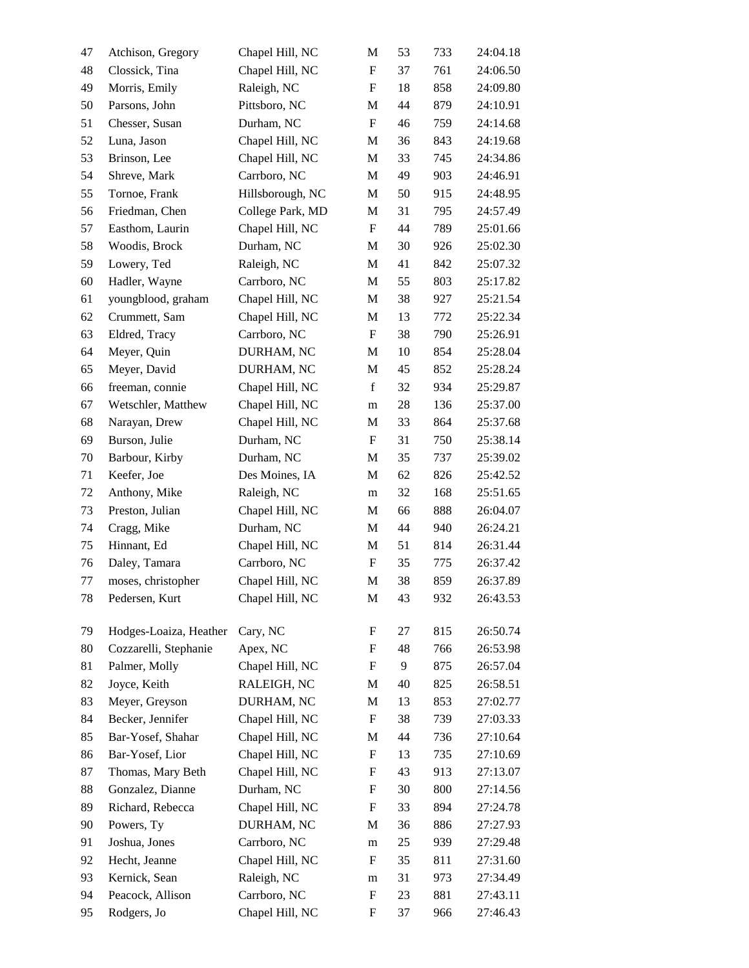| 47 | Atchison, Gregory      | Chapel Hill, NC  | M                         | 53 | 733 | 24:04.18 |
|----|------------------------|------------------|---------------------------|----|-----|----------|
| 48 | Clossick, Tina         | Chapel Hill, NC  | $\boldsymbol{\mathrm{F}}$ | 37 | 761 | 24:06.50 |
| 49 | Morris, Emily          | Raleigh, NC      | $\boldsymbol{\mathrm{F}}$ | 18 | 858 | 24:09.80 |
| 50 | Parsons, John          | Pittsboro, NC    | M                         | 44 | 879 | 24:10.91 |
| 51 | Chesser, Susan         | Durham, NC       | $\boldsymbol{\mathrm{F}}$ | 46 | 759 | 24:14.68 |
| 52 | Luna, Jason            | Chapel Hill, NC  | M                         | 36 | 843 | 24:19.68 |
| 53 | Brinson, Lee           | Chapel Hill, NC  | M                         | 33 | 745 | 24:34.86 |
| 54 | Shreve, Mark           | Carrboro, NC     | M                         | 49 | 903 | 24:46.91 |
| 55 | Tornoe, Frank          | Hillsborough, NC | M                         | 50 | 915 | 24:48.95 |
| 56 | Friedman, Chen         | College Park, MD | $\mathbf M$               | 31 | 795 | 24:57.49 |
| 57 | Easthom, Laurin        | Chapel Hill, NC  | $\boldsymbol{\mathrm{F}}$ | 44 | 789 | 25:01.66 |
| 58 | Woodis, Brock          | Durham, NC       | M                         | 30 | 926 | 25:02.30 |
| 59 | Lowery, Ted            | Raleigh, NC      | M                         | 41 | 842 | 25:07.32 |
| 60 | Hadler, Wayne          | Carrboro, NC     | M                         | 55 | 803 | 25:17.82 |
| 61 | youngblood, graham     | Chapel Hill, NC  | M                         | 38 | 927 | 25:21.54 |
| 62 | Crummett, Sam          | Chapel Hill, NC  | M                         | 13 | 772 | 25:22.34 |
| 63 | Eldred, Tracy          | Carrboro, NC     | $\boldsymbol{\mathrm{F}}$ | 38 | 790 | 25:26.91 |
| 64 | Meyer, Quin            | DURHAM, NC       | M                         | 10 | 854 | 25:28.04 |
| 65 | Meyer, David           | DURHAM, NC       | M                         | 45 | 852 | 25:28.24 |
| 66 | freeman, connie        | Chapel Hill, NC  | $\mathbf f$               | 32 | 934 | 25:29.87 |
| 67 | Wetschler, Matthew     | Chapel Hill, NC  | m                         | 28 | 136 | 25:37.00 |
| 68 | Narayan, Drew          | Chapel Hill, NC  | M                         | 33 | 864 | 25:37.68 |
| 69 | Burson, Julie          | Durham, NC       | $\boldsymbol{\mathrm{F}}$ | 31 | 750 | 25:38.14 |
| 70 | Barbour, Kirby         | Durham, NC       | M                         | 35 | 737 | 25:39.02 |
| 71 | Keefer, Joe            | Des Moines, IA   | $\mathbf M$               | 62 | 826 | 25:42.52 |
| 72 | Anthony, Mike          | Raleigh, NC      | m                         | 32 | 168 | 25:51.65 |
| 73 | Preston, Julian        | Chapel Hill, NC  | M                         | 66 | 888 | 26:04.07 |
| 74 | Cragg, Mike            | Durham, NC       | M                         | 44 | 940 | 26:24.21 |
| 75 | Hinnant, Ed            | Chapel Hill, NC  | M                         | 51 | 814 | 26:31.44 |
| 76 | Daley, Tamara          | Carrboro, NC     | $\boldsymbol{\mathrm{F}}$ | 35 | 775 | 26:37.42 |
| 77 | moses, christopher     | Chapel Hill, NC  | M                         | 38 | 859 | 26:37.89 |
| 78 | Pedersen, Kurt         | Chapel Hill, NC  | M                         | 43 | 932 | 26:43.53 |
| 79 | Hodges-Loaiza, Heather | Cary, NC         | F                         | 27 | 815 | 26:50.74 |
| 80 | Cozzarelli, Stephanie  | Apex, NC         | F                         | 48 | 766 | 26:53.98 |
| 81 | Palmer, Molly          | Chapel Hill, NC  | $\mathbf F$               | 9  | 875 | 26:57.04 |
| 82 | Joyce, Keith           | RALEIGH, NC      | M                         | 40 | 825 | 26:58.51 |
| 83 | Meyer, Greyson         | DURHAM, NC       | $\mathbf M$               | 13 | 853 | 27:02.77 |
| 84 | Becker, Jennifer       | Chapel Hill, NC  | $\boldsymbol{\mathrm{F}}$ | 38 | 739 | 27:03.33 |
| 85 | Bar-Yosef, Shahar      | Chapel Hill, NC  | M                         | 44 | 736 | 27:10.64 |
| 86 | Bar-Yosef, Lior        | Chapel Hill, NC  | $\boldsymbol{\mathrm{F}}$ | 13 | 735 | 27:10.69 |
| 87 | Thomas, Mary Beth      | Chapel Hill, NC  | $\boldsymbol{F}$          | 43 | 913 | 27:13.07 |
| 88 | Gonzalez, Dianne       | Durham, NC       | $\boldsymbol{F}$          | 30 | 800 | 27:14.56 |
| 89 | Richard, Rebecca       | Chapel Hill, NC  | F                         | 33 | 894 | 27:24.78 |
| 90 | Powers, Ty             | DURHAM, NC       | M                         | 36 | 886 | 27:27.93 |
| 91 | Joshua, Jones          | Carrboro, NC     | m                         | 25 | 939 | 27:29.48 |
| 92 | Hecht, Jeanne          | Chapel Hill, NC  | $\boldsymbol{F}$          | 35 | 811 | 27:31.60 |
| 93 | Kernick, Sean          | Raleigh, NC      | m                         | 31 | 973 | 27:34.49 |
| 94 | Peacock, Allison       | Carrboro, NC     | F                         | 23 | 881 | 27:43.11 |
| 95 | Rodgers, Jo            | Chapel Hill, NC  | F                         | 37 | 966 | 27:46.43 |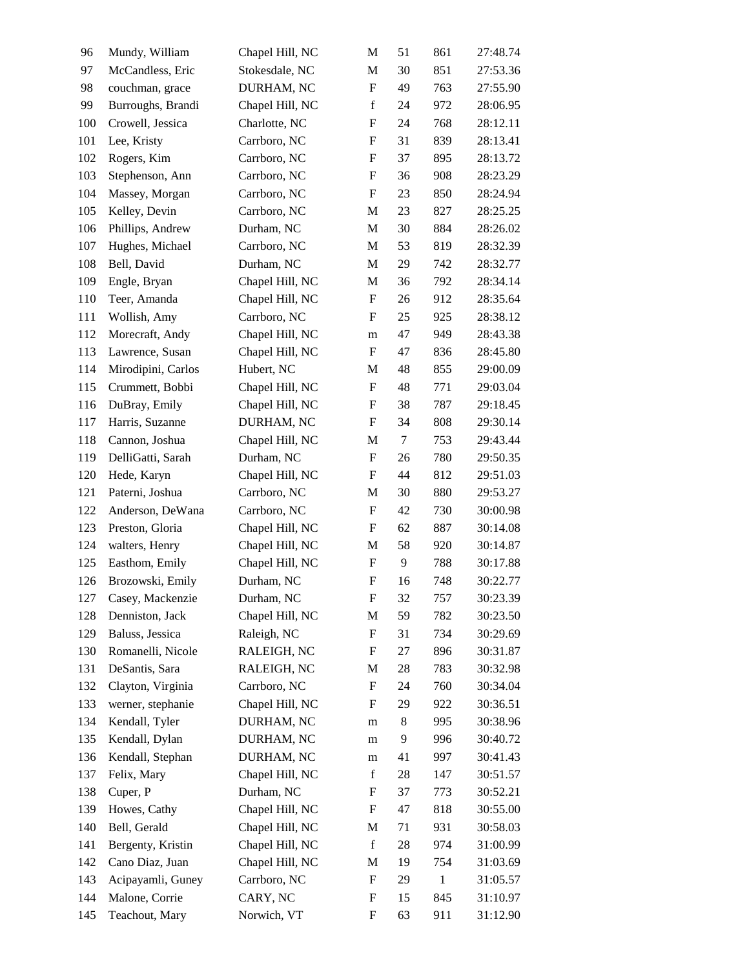| 96  | Mundy, William     | Chapel Hill, NC | M                         | 51     | 861          | 27:48.74 |
|-----|--------------------|-----------------|---------------------------|--------|--------------|----------|
| 97  | McCandless, Eric   | Stokesdale, NC  | M                         | 30     | 851          | 27:53.36 |
| 98  | couchman, grace    | DURHAM, NC      | ${\bf F}$                 | 49     | 763          | 27:55.90 |
| 99  | Burroughs, Brandi  | Chapel Hill, NC | $\mathbf f$               | 24     | 972          | 28:06.95 |
| 100 | Crowell, Jessica   | Charlotte, NC   | $\boldsymbol{\mathrm{F}}$ | 24     | 768          | 28:12.11 |
| 101 | Lee, Kristy        | Carrboro, NC    | $\boldsymbol{\mathrm{F}}$ | 31     | 839          | 28:13.41 |
| 102 | Rogers, Kim        | Carrboro, NC    | F                         | 37     | 895          | 28:13.72 |
| 103 | Stephenson, Ann    | Carrboro, NC    | $\boldsymbol{\mathrm{F}}$ | 36     | 908          | 28:23.29 |
| 104 | Massey, Morgan     | Carrboro, NC    | $\mathbf F$               | 23     | 850          | 28:24.94 |
| 105 | Kelley, Devin      | Carrboro, NC    | M                         | 23     | 827          | 28:25.25 |
| 106 | Phillips, Andrew   | Durham, NC      | M                         | 30     | 884          | 28:26.02 |
| 107 | Hughes, Michael    | Carrboro, NC    | M                         | 53     | 819          | 28:32.39 |
| 108 | Bell, David        | Durham, NC      | $\mathbf M$               | 29     | 742          | 28:32.77 |
| 109 | Engle, Bryan       | Chapel Hill, NC | M                         | 36     | 792          | 28:34.14 |
| 110 | Teer, Amanda       | Chapel Hill, NC | $\boldsymbol{\mathrm{F}}$ | 26     | 912          | 28:35.64 |
| 111 | Wollish, Amy       | Carrboro, NC    | F                         | 25     | 925          | 28:38.12 |
| 112 | Morecraft, Andy    | Chapel Hill, NC | m                         | 47     | 949          | 28:43.38 |
| 113 | Lawrence, Susan    | Chapel Hill, NC | $\boldsymbol{\mathrm{F}}$ | 47     | 836          | 28:45.80 |
| 114 | Mirodipini, Carlos | Hubert, NC      | M                         | 48     | 855          | 29:00.09 |
| 115 | Crummett, Bobbi    | Chapel Hill, NC | $\boldsymbol{\mathrm{F}}$ | 48     | 771          | 29:03.04 |
| 116 | DuBray, Emily      | Chapel Hill, NC | F                         | 38     | 787          | 29:18.45 |
| 117 | Harris, Suzanne    | DURHAM, NC      | F                         | 34     | 808          | 29:30.14 |
| 118 | Cannon, Joshua     | Chapel Hill, NC | M                         | $\tau$ | 753          | 29:43.44 |
| 119 | DelliGatti, Sarah  | Durham, NC      | $\mathbf F$               | 26     | 780          | 29:50.35 |
| 120 | Hede, Karyn        | Chapel Hill, NC | F                         | 44     | 812          | 29:51.03 |
| 121 | Paterni, Joshua    | Carrboro, NC    | M                         | 30     | 880          | 29:53.27 |
| 122 | Anderson, DeWana   | Carrboro, NC    | $\boldsymbol{\mathrm{F}}$ | 42     | 730          | 30:00.98 |
| 123 | Preston, Gloria    | Chapel Hill, NC | $\boldsymbol{\mathrm{F}}$ | 62     | 887          | 30:14.08 |
| 124 | walters, Henry     | Chapel Hill, NC | M                         | 58     | 920          | 30:14.87 |
| 125 | Easthom, Emily     | Chapel Hill, NC | $\boldsymbol{\mathrm{F}}$ | 9      | 788          | 30:17.88 |
| 126 | Brozowski, Emily   | Durham, NC      | $\mathbf F$               | 16     | 748          | 30:22.77 |
| 127 | Casey, Mackenzie   | Durham, NC      | F                         | 32     | 757          | 30:23.39 |
| 128 | Denniston, Jack    | Chapel Hill, NC | M                         | 59     | 782          | 30:23.50 |
| 129 | Baluss, Jessica    | Raleigh, NC     | $\mathbf F$               | 31     | 734          | 30:29.69 |
| 130 | Romanelli, Nicole  | RALEIGH, NC     | F                         | 27     | 896          | 30:31.87 |
| 131 | DeSantis, Sara     | RALEIGH, NC     | M                         | 28     | 783          | 30:32.98 |
| 132 | Clayton, Virginia  | Carrboro, NC    | $\boldsymbol{F}$          | 24     | 760          | 30:34.04 |
| 133 | werner, stephanie  | Chapel Hill, NC | F                         | 29     | 922          | 30:36.51 |
| 134 | Kendall, Tyler     | DURHAM, NC      | m                         | 8      | 995          | 30:38.96 |
| 135 | Kendall, Dylan     | DURHAM, NC      | m                         | 9      | 996          | 30:40.72 |
| 136 | Kendall, Stephan   | DURHAM, NC      | m                         | 41     | 997          | 30:41.43 |
| 137 | Felix, Mary        | Chapel Hill, NC | $\mathbf f$               | 28     | 147          | 30:51.57 |
| 138 | Cuper, P           | Durham, NC      | $\boldsymbol{\mathrm{F}}$ | 37     | 773          | 30:52.21 |
| 139 | Howes, Cathy       | Chapel Hill, NC | $\boldsymbol{F}$          | 47     | 818          | 30:55.00 |
| 140 | Bell, Gerald       | Chapel Hill, NC | M                         | 71     | 931          | 30:58.03 |
| 141 | Bergenty, Kristin  | Chapel Hill, NC | $\mathbf f$               | 28     | 974          | 31:00.99 |
| 142 | Cano Diaz, Juan    | Chapel Hill, NC | M                         | 19     | 754          | 31:03.69 |
| 143 | Acipayamli, Guney  | Carrboro, NC    | $\boldsymbol{\mathrm{F}}$ | 29     | $\mathbf{1}$ | 31:05.57 |
| 144 | Malone, Corrie     | CARY, NC        | $\boldsymbol{F}$          | 15     | 845          | 31:10.97 |
| 145 | Teachout, Mary     | Norwich, VT     | $\mathbf F$               | 63     | 911          | 31:12.90 |
|     |                    |                 |                           |        |              |          |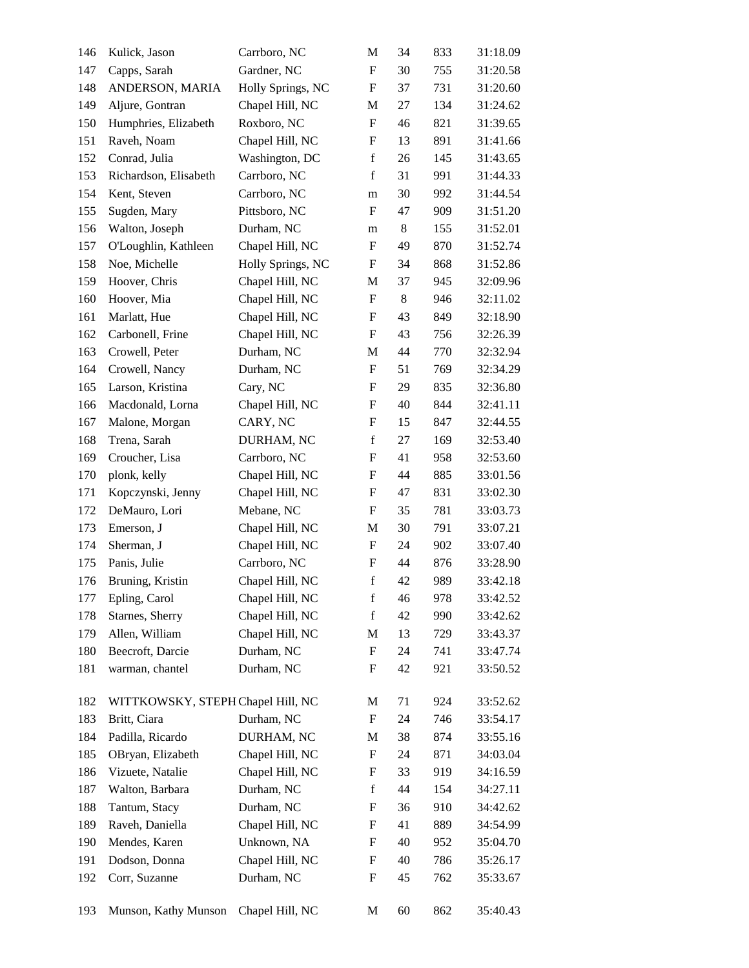| 146 | Kulick, Jason                     | Carrboro, NC      | М                         | 34      | 833 | 31:18.09 |
|-----|-----------------------------------|-------------------|---------------------------|---------|-----|----------|
| 147 | Capps, Sarah                      | Gardner, NC       | ${\bf F}$                 | 30      | 755 | 31:20.58 |
| 148 | ANDERSON, MARIA                   | Holly Springs, NC | ${\bf F}$                 | 37      | 731 | 31:20.60 |
| 149 | Aljure, Gontran                   | Chapel Hill, NC   | M                         | 27      | 134 | 31:24.62 |
| 150 | Humphries, Elizabeth              | Roxboro, NC       | ${\bf F}$                 | 46      | 821 | 31:39.65 |
| 151 | Raveh, Noam                       | Chapel Hill, NC   | F                         | 13      | 891 | 31:41.66 |
| 152 | Conrad, Julia                     | Washington, DC    | $\mathbf f$               | 26      | 145 | 31:43.65 |
| 153 | Richardson, Elisabeth             | Carrboro, NC      | $\mathbf f$               | 31      | 991 | 31:44.33 |
| 154 | Kent, Steven                      | Carrboro, NC      | m                         | 30      | 992 | 31:44.54 |
| 155 | Sugden, Mary                      | Pittsboro, NC     | F                         | 47      | 909 | 31:51.20 |
| 156 | Walton, Joseph                    | Durham, NC        | m                         | $\,8\,$ | 155 | 31:52.01 |
| 157 | O'Loughlin, Kathleen              | Chapel Hill, NC   | F                         | 49      | 870 | 31:52.74 |
| 158 | Noe, Michelle                     | Holly Springs, NC | ${\bf F}$                 | 34      | 868 | 31:52.86 |
| 159 | Hoover, Chris                     | Chapel Hill, NC   | M                         | 37      | 945 | 32:09.96 |
| 160 | Hoover, Mia                       | Chapel Hill, NC   | $\boldsymbol{\mathrm{F}}$ | $\,8\,$ | 946 | 32:11.02 |
| 161 | Marlatt, Hue                      | Chapel Hill, NC   | F                         | 43      | 849 | 32:18.90 |
| 162 | Carbonell, Frine                  | Chapel Hill, NC   | F                         | 43      | 756 | 32:26.39 |
| 163 | Crowell, Peter                    | Durham, NC        | M                         | 44      | 770 | 32:32.94 |
| 164 | Crowell, Nancy                    | Durham, NC        | F                         | 51      | 769 | 32:34.29 |
| 165 | Larson, Kristina                  | Cary, NC          | $\boldsymbol{\mathrm{F}}$ | 29      | 835 | 32:36.80 |
| 166 | Macdonald, Lorna                  | Chapel Hill, NC   | F                         | 40      | 844 | 32:41.11 |
| 167 | Malone, Morgan                    | CARY, NC          | F                         | 15      | 847 | 32:44.55 |
| 168 | Trena, Sarah                      | DURHAM, NC        | $\mathbf f$               | $27\,$  | 169 | 32:53.40 |
| 169 | Croucher, Lisa                    | Carrboro, NC      | F                         | 41      | 958 | 32:53.60 |
| 170 | plonk, kelly                      | Chapel Hill, NC   | $\boldsymbol{\mathrm{F}}$ | 44      | 885 | 33:01.56 |
| 171 | Kopczynski, Jenny                 | Chapel Hill, NC   | F                         | 47      | 831 | 33:02.30 |
| 172 | DeMauro, Lori                     | Mebane, NC        | F                         | 35      | 781 | 33:03.73 |
| 173 | Emerson, J                        | Chapel Hill, NC   | M                         | 30      | 791 | 33:07.21 |
| 174 | Sherman, J                        | Chapel Hill, NC   | $\boldsymbol{F}$          | 24      | 902 | 33:07.40 |
| 175 | Panis, Julie                      | Carrboro, NC      | $\boldsymbol{F}$          | 44      | 876 | 33:28.90 |
| 176 | Bruning, Kristin                  | Chapel Hill, NC   | $\mathbf f$               | 42      | 989 | 33:42.18 |
| 177 | Epling, Carol                     | Chapel Hill, NC   | $\mathbf f$               | 46      | 978 | 33:42.52 |
| 178 | Starnes, Sherry                   | Chapel Hill, NC   | $\mathbf f$               | 42      | 990 | 33:42.62 |
| 179 | Allen, William                    | Chapel Hill, NC   | M                         | 13      | 729 | 33:43.37 |
| 180 | Beecroft, Darcie                  | Durham, NC        | ${\bf F}$                 | 24      | 741 | 33:47.74 |
| 181 | warman, chantel                   | Durham, NC        | F                         | 42      | 921 | 33:50.52 |
|     |                                   |                   |                           |         |     |          |
| 182 | WITTKOWSKY, STEPH Chapel Hill, NC |                   | M                         | 71      | 924 | 33:52.62 |
| 183 | Britt, Ciara                      | Durham, NC        | $\boldsymbol{\mathrm{F}}$ | 24      | 746 | 33:54.17 |
| 184 | Padilla, Ricardo                  | DURHAM, NC        | M                         | 38      | 874 | 33:55.16 |
| 185 | OBryan, Elizabeth                 | Chapel Hill, NC   | $\boldsymbol{\mathrm{F}}$ | 24      | 871 | 34:03.04 |
| 186 | Vizuete, Natalie                  | Chapel Hill, NC   | F                         | 33      | 919 | 34:16.59 |
| 187 | Walton, Barbara                   | Durham, NC        | $\mathbf f$               | 44      | 154 | 34:27.11 |
| 188 | Tantum, Stacy                     | Durham, NC        | F                         | 36      | 910 | 34:42.62 |
| 189 | Raveh, Daniella                   | Chapel Hill, NC   | F                         | 41      | 889 | 34:54.99 |
| 190 | Mendes, Karen                     | Unknown, NA       | F                         | 40      | 952 | 35:04.70 |
| 191 | Dodson, Donna                     | Chapel Hill, NC   | F                         | 40      | 786 | 35:26.17 |
| 192 | Corr, Suzanne                     | Durham, NC        | F                         | 45      | 762 | 35:33.67 |
|     |                                   |                   |                           |         |     |          |
| 193 | Munson, Kathy Munson              | Chapel Hill, NC   | M                         | 60      | 862 | 35:40.43 |